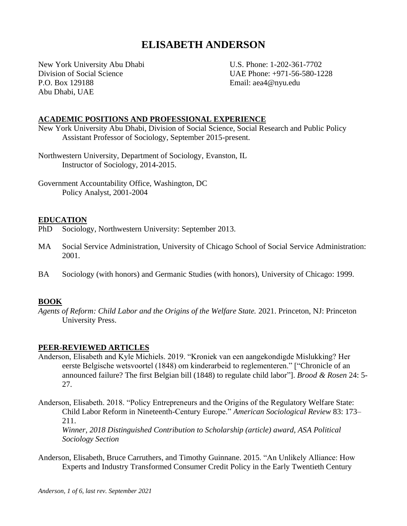# **ELISABETH ANDERSON**

New York University Abu Dhabi U.S. Phone: 1-202-361-7702 Division of Social Science UAE Phone: +971-56-580-1228 P.O. Box 129188 **Email:** aea4@nyu.edu Abu Dhabi, UAE

### **ACADEMIC POSITIONS AND PROFESSIONAL EXPERIENCE**

New York University Abu Dhabi, Division of Social Science, Social Research and Public Policy Assistant Professor of Sociology, September 2015-present.

Northwestern University, Department of Sociology, Evanston, IL Instructor of Sociology, 2014-2015.

Government Accountability Office, Washington, DC Policy Analyst, 2001-2004

#### **EDUCATION**

PhD Sociology, Northwestern University: September 2013.

- MA Social Service Administration, University of Chicago School of Social Service Administration: 2001.
- BA Sociology (with honors) and Germanic Studies (with honors), University of Chicago: 1999.

#### **BOOK**

*Agents of Reform: Child Labor and the Origins of the Welfare State.* 2021. Princeton, NJ: Princeton University Press.

#### **PEER-REVIEWED ARTICLES**

- Anderson, Elisabeth and Kyle Michiels. 2019. "Kroniek van een aangekondigde Mislukking? Her eerste Belgische wetsvoortel (1848) om kinderarbeid to reglementeren." ["Chronicle of an announced failure? The first Belgian bill (1848) to regulate child labor"]. *Brood & Rosen* 24: 5- 27.
- Anderson, Elisabeth. 2018. "Policy Entrepreneurs and the Origins of the Regulatory Welfare State: Child Labor Reform in Nineteenth-Century Europe." *American Sociological Review* 83: 173– 211.

*Winner, 2018 Distinguished Contribution to Scholarship (article) award, ASA Political Sociology Section*

Anderson, Elisabeth, Bruce Carruthers, and Timothy Guinnane. 2015. "An Unlikely Alliance: How Experts and Industry Transformed Consumer Credit Policy in the Early Twentieth Century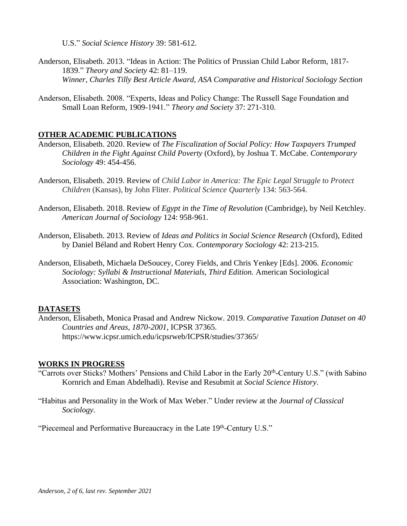U.S." *Social Science History* 39: 581-612.

- Anderson, Elisabeth. 2013. "Ideas in Action: The Politics of Prussian Child Labor Reform, 1817- 1839." *Theory and Society* 42: 81–119. *Winner, Charles Tilly Best Article Award, ASA Comparative and Historical Sociology Section*
- Anderson, Elisabeth. 2008. "Experts, Ideas and Policy Change: The Russell Sage Foundation and Small Loan Reform, 1909-1941." *Theory and Society* 37: 271-310.

## **OTHER ACADEMIC PUBLICATIONS**

- Anderson, Elisabeth. 2020. Review of *The Fiscalization of Social Policy: How Taxpayers Trumped Children in the Fight Against Child Poverty* (Oxford), by Joshua T. McCabe. *Contemporary Sociology* 49: 454-456.
- Anderson, Elisabeth. 2019. Review of *Child Labor in America: The Epic Legal Struggle to Protect Children* (Kansas), by John Fliter. *Political Science Quarterly* 134: 563-564.
- Anderson, Elisabeth. 2018. Review of *Egypt in the Time of Revolution* (Cambridge), by Neil Ketchley*. American Journal of Sociology* 124: 958-961.
- Anderson, Elisabeth. 2013. Review of *Ideas and Politics in Social Science Research* (Oxford)*,* Edited by Daniel Béland and Robert Henry Cox. *Contemporary Sociology* 42: 213-215.
- Anderson, Elisabeth, Michaela DeSoucey, Corey Fields, and Chris Yenkey [Eds]. 2006. *Economic Sociology: Syllabi & Instructional Materials, Third Edition.* American Sociological Association: Washington, DC.

## **DATASETS**

Anderson, Elisabeth, Monica Prasad and Andrew Nickow. 2019. *Comparative Taxation Dataset on 40 Countries and Areas, 1870-2001,* ICPSR 37365. https://www.icpsr.umich.edu/icpsrweb/ICPSR/studies/37365/

#### **WORKS IN PROGRESS**

- "Carrots over Sticks? Mothers' Pensions and Child Labor in the Early 20<sup>th</sup>-Century U.S." (with Sabino Kornrich and Eman Abdelhadi). Revise and Resubmit at *Social Science History*.
- "Habitus and Personality in the Work of Max Weber." Under review at the *Journal of Classical Sociology*.

"Piecemeal and Performative Bureaucracy in the Late 19th-Century U.S."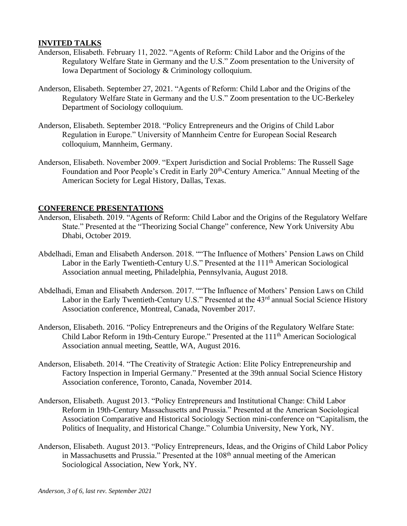#### **INVITED TALKS**

- Anderson, Elisabeth. February 11, 2022. "Agents of Reform: Child Labor and the Origins of the Regulatory Welfare State in Germany and the U.S." Zoom presentation to the University of Iowa Department of Sociology & Criminology colloquium.
- Anderson, Elisabeth. September 27, 2021. "Agents of Reform: Child Labor and the Origins of the Regulatory Welfare State in Germany and the U.S." Zoom presentation to the UC-Berkeley Department of Sociology colloquium.
- Anderson, Elisabeth. September 2018. "Policy Entrepreneurs and the Origins of Child Labor Regulation in Europe." University of Mannheim Centre for European Social Research colloquium, Mannheim, Germany.
- Anderson, Elisabeth. November 2009. "Expert Jurisdiction and Social Problems: The Russell Sage Foundation and Poor People's Credit in Early 20<sup>th</sup>-Century America." Annual Meeting of the American Society for Legal History, Dallas, Texas.

#### **CONFERENCE PRESENTATIONS**

- Anderson, Elisabeth. 2019. "Agents of Reform: Child Labor and the Origins of the Regulatory Welfare State." Presented at the "Theorizing Social Change" conference, New York University Abu Dhabi, October 2019.
- Abdelhadi, Eman and Elisabeth Anderson. 2018. ""The Influence of Mothers' Pension Laws on Child Labor in the Early Twentieth-Century U.S." Presented at the 111<sup>th</sup> American Sociological Association annual meeting, Philadelphia, Pennsylvania, August 2018.
- Abdelhadi, Eman and Elisabeth Anderson. 2017. ""The Influence of Mothers' Pension Laws on Child Labor in the Early Twentieth-Century U.S." Presented at the 43<sup>rd</sup> annual Social Science History Association conference, Montreal, Canada, November 2017.
- Anderson, Elisabeth. 2016. "Policy Entrepreneurs and the Origins of the Regulatory Welfare State: Child Labor Reform in 19th-Century Europe." Presented at the 111th American Sociological Association annual meeting, Seattle, WA, August 2016.
- Anderson, Elisabeth. 2014. "The Creativity of Strategic Action: Elite Policy Entrepreneurship and Factory Inspection in Imperial Germany." Presented at the 39th annual Social Science History Association conference, Toronto, Canada, November 2014.
- Anderson, Elisabeth. August 2013. "Policy Entrepreneurs and Institutional Change: Child Labor Reform in 19th-Century Massachusetts and Prussia." Presented at the American Sociological Association Comparative and Historical Sociology Section mini-conference on "Capitalism, the Politics of Inequality, and Historical Change." Columbia University, New York, NY.
- Anderson, Elisabeth. August 2013. "Policy Entrepreneurs, Ideas, and the Origins of Child Labor Policy in Massachusetts and Prussia." Presented at the 108<sup>th</sup> annual meeting of the American Sociological Association, New York, NY.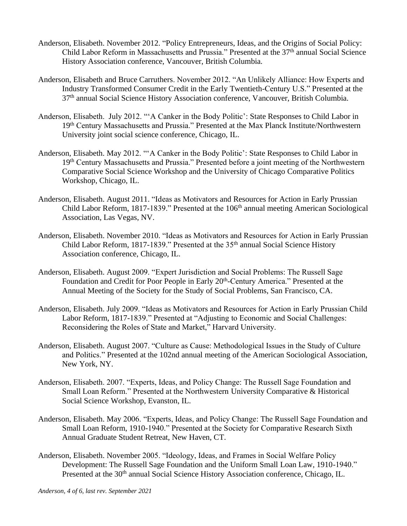- Anderson, Elisabeth. November 2012. "Policy Entrepreneurs, Ideas, and the Origins of Social Policy: Child Labor Reform in Massachusetts and Prussia." Presented at the 37<sup>th</sup> annual Social Science History Association conference, Vancouver, British Columbia.
- Anderson, Elisabeth and Bruce Carruthers. November 2012. "An Unlikely Alliance: How Experts and Industry Transformed Consumer Credit in the Early Twentieth-Century U.S." Presented at the 37th annual Social Science History Association conference, Vancouver, British Columbia.
- Anderson, Elisabeth. July 2012. "'A Canker in the Body Politic': State Responses to Child Labor in 19th Century Massachusetts and Prussia." Presented at the Max Planck Institute/Northwestern University joint social science conference, Chicago, IL.
- Anderson, Elisabeth. May 2012. "'A Canker in the Body Politic': State Responses to Child Labor in 19th Century Massachusetts and Prussia." Presented before a joint meeting of the Northwestern Comparative Social Science Workshop and the University of Chicago Comparative Politics Workshop, Chicago, IL.
- Anderson, Elisabeth. August 2011. "Ideas as Motivators and Resources for Action in Early Prussian Child Labor Reform, 1817-1839." Presented at the 106<sup>th</sup> annual meeting American Sociological Association, Las Vegas, NV.
- Anderson, Elisabeth. November 2010. "Ideas as Motivators and Resources for Action in Early Prussian Child Labor Reform, 1817-1839." Presented at the 35<sup>th</sup> annual Social Science History Association conference, Chicago, IL.
- Anderson, Elisabeth. August 2009. "Expert Jurisdiction and Social Problems: The Russell Sage Foundation and Credit for Poor People in Early 20<sup>th</sup>-Century America." Presented at the Annual Meeting of the Society for the Study of Social Problems, San Francisco, CA.
- Anderson, Elisabeth. July 2009. "Ideas as Motivators and Resources for Action in Early Prussian Child Labor Reform, 1817-1839." Presented at "Adjusting to Economic and Social Challenges: Reconsidering the Roles of State and Market," Harvard University.
- Anderson, Elisabeth. August 2007. "Culture as Cause: Methodological Issues in the Study of Culture and Politics." Presented at the 102nd annual meeting of the American Sociological Association, New York, NY.
- Anderson, Elisabeth. 2007. "Experts, Ideas, and Policy Change: The Russell Sage Foundation and Small Loan Reform." Presented at the Northwestern University Comparative & Historical Social Science Workshop, Evanston, IL.
- Anderson, Elisabeth. May 2006. "Experts, Ideas, and Policy Change: The Russell Sage Foundation and Small Loan Reform, 1910-1940." Presented at the Society for Comparative Research Sixth Annual Graduate Student Retreat, New Haven, CT.
- Anderson, Elisabeth. November 2005. "Ideology, Ideas, and Frames in Social Welfare Policy Development: The Russell Sage Foundation and the Uniform Small Loan Law, 1910-1940." Presented at the 30<sup>th</sup> annual Social Science History Association conference, Chicago, IL.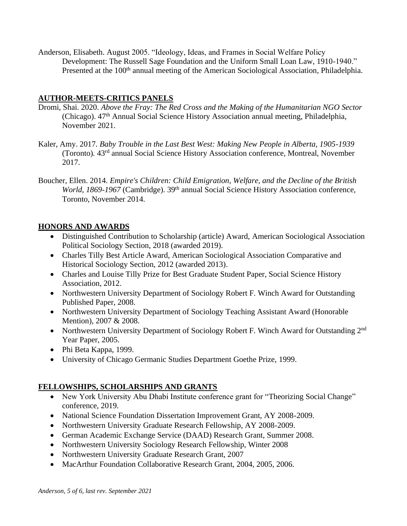Anderson, Elisabeth. August 2005. "Ideology, Ideas, and Frames in Social Welfare Policy Development: The Russell Sage Foundation and the Uniform Small Loan Law, 1910-1940." Presented at the 100<sup>th</sup> annual meeting of the American Sociological Association, Philadelphia.

## **AUTHOR-MEETS-CRITICS PANELS**

- Dromi, Shai. 2020. *Above the Fray: The Red Cross and the Making of the Humanitarian NGO Sector* (Chicago). 47th Annual Social Science History Association annual meeting, Philadelphia, November 2021.
- Kaler, Amy. 2017. *Baby Trouble in the Last Best West: Making New People in Alberta, 1905-1939* (Toronto)*.* 43rd annual Social Science History Association conference, Montreal, November 2017.
- Boucher, Ellen. 2014. *Empire's Children: Child Emigration, Welfare, and the Decline of the British World, 1869-1967* (Cambridge). 39<sup>th</sup> annual Social Science History Association conference, Toronto, November 2014.

## **HONORS AND AWARDS**

- Distinguished Contribution to Scholarship (article) Award, American Sociological Association Political Sociology Section, 2018 (awarded 2019).
- Charles Tilly Best Article Award, American Sociological Association Comparative and Historical Sociology Section, 2012 (awarded 2013).
- Charles and Louise Tilly Prize for Best Graduate Student Paper, Social Science History Association, 2012.
- Northwestern University Department of Sociology Robert F. Winch Award for Outstanding Published Paper, 2008.
- Northwestern University Department of Sociology Teaching Assistant Award (Honorable Mention), 2007 & 2008.
- Northwestern University Department of Sociology Robert F. Winch Award for Outstanding 2<sup>nd</sup> Year Paper, 2005.
- Phi Beta Kappa, 1999.
- University of Chicago Germanic Studies Department Goethe Prize, 1999.

## **FELLOWSHIPS, SCHOLARSHIPS AND GRANTS**

- New York University Abu Dhabi Institute conference grant for "Theorizing Social Change" conference, 2019.
- National Science Foundation Dissertation Improvement Grant, AY 2008-2009.
- Northwestern University Graduate Research Fellowship, AY 2008-2009.
- German Academic Exchange Service (DAAD) Research Grant, Summer 2008.
- Northwestern University Sociology Research Fellowship, Winter 2008
- Northwestern University Graduate Research Grant, 2007
- MacArthur Foundation Collaborative Research Grant, 2004, 2005, 2006.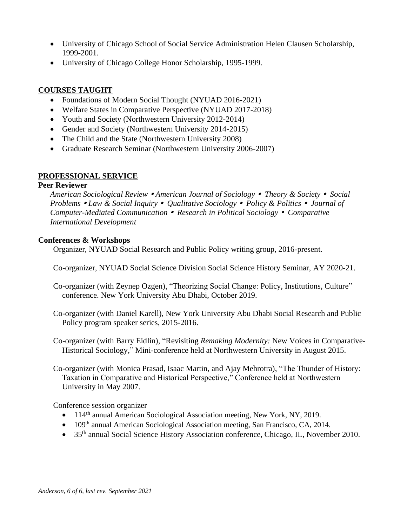- University of Chicago School of Social Service Administration Helen Clausen Scholarship, 1999-2001.
- University of Chicago College Honor Scholarship, 1995-1999.

## **COURSES TAUGHT**

- Foundations of Modern Social Thought (NYUAD 2016-2021)
- Welfare States in Comparative Perspective (NYUAD 2017-2018)
- Youth and Society (Northwestern University 2012-2014)
- Gender and Society (Northwestern University 2014-2015)
- The Child and the State (Northwestern University 2008)
- Graduate Research Seminar (Northwestern University 2006-2007)

## **PROFESSIONAL SERVICE**

#### **Peer Reviewer**

*American Sociological Review American Journal of Sociology Theory & Society Social Problems Law & Social Inquiry Qualitative Sociology Policy & Politics Journal of Computer-Mediated Communication Research in Political Sociology Comparative International Development*

### **Conferences & Workshops**

Organizer, NYUAD Social Research and Public Policy writing group, 2016-present.

Co-organizer, NYUAD Social Science Division Social Science History Seminar, AY 2020-21.

- Co-organizer (with Zeynep Ozgen), "Theorizing Social Change: Policy, Institutions, Culture" conference. New York University Abu Dhabi, October 2019.
- Co-organizer (with Daniel Karell), New York University Abu Dhabi Social Research and Public Policy program speaker series, 2015-2016.
- Co-organizer (with Barry Eidlin), "Revisiting *Remaking Modernity:* New Voices in Comparative-Historical Sociology," Mini-conference held at Northwestern University in August 2015.
- Co-organizer (with Monica Prasad, Isaac Martin, and Ajay Mehrotra), "The Thunder of History: Taxation in Comparative and Historical Perspective," Conference held at Northwestern University in May 2007.

Conference session organizer

- 114<sup>th</sup> annual American Sociological Association meeting, New York, NY, 2019.
- 109<sup>th</sup> annual American Sociological Association meeting, San Francisco, CA, 2014.
- 35<sup>th</sup> annual Social Science History Association conference, Chicago, IL, November 2010.